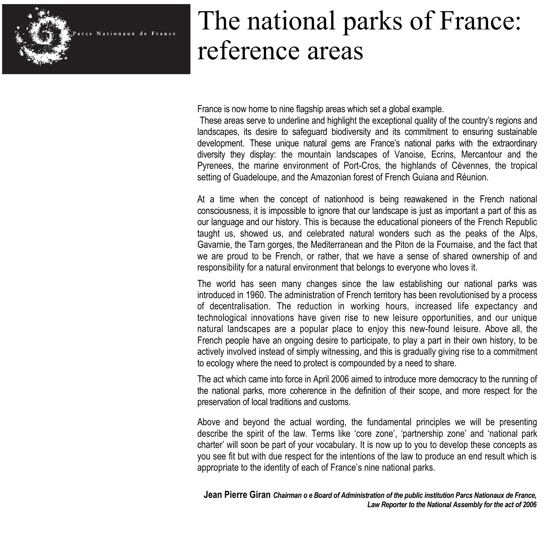

# The national parks of France: reference areas

France is now home to nine flagship areas which set a global example.

These areas serve to underline and highlight the exceptional quality of the country's regions and landscapes, its desire to safeguard biodiversity and its commitment to ensuring sustainable development. These unique natural gems are France's national parks with the extraordinary diversity they display: the mountain landscapes of Vanoise, Ecrins, Mercantour and the Pyrenees, the marine environment of Port-Cros, the highlands of Cévennes, the tropical setting of Guadeloupe, and the Amazonian forest of French Guiana and Réunion.

At a time when the concept of nationhood is being reawakened in the French national consciousness, it is impossible to ignore that our landscape is just as important a part of this as our language and our history. This is because the educational pioneers of the French Republic taught us, showed us, and celebrated natural wonders such as the peaks of the Alps, Gavarnie, the Tarn gorges, the Mediterranean and the Piton de la Fournaise, and the fact that we are proud to be French, or rather, that we have a sense of shared ownership of and responsibility for a natural environment that belongs to everyone who loves it.

The world has seen many changes since the law establishing our national parks was introduced in 1960. The administration of French territory has been revolutionised by a process of decentralisation. The reduction in working hours, increased life expectancy and technological innovations have given rise to new leisure opportunities, and our unique natural landscapes are a popular place to enjoy this new-found leisure. Above all, the French people have an ongoing desire to participate, to play a part in their own history, to be actively involved instead of simply witnessing, and this is gradually giving rise to a commitment to ecology where the need to protect is compounded by a need to share.

The act which came into force in April 2006 aimed to introduce more democracy to the running of the national parks, more coherence in the definition of their scope, and more respect for the preservation of local traditions and customs.

Above and beyond the actual wording, the fundamental principles we will be presenting describe the spirit of the law. Terms like 'core zone', 'partnership zone' and 'national park charter' will soon be part of your vocabulary. It is now up to you to develop these concepts as you see fit but with due respect for the intentions of the law to produce an end result which is appropriate to the identity of each of France's nine national parks.

**Jean Pierre Giran** *Chairman o e Board of Administration of the public institution Parcs Nationaux de France, Law Reporter to the National Assembly for the act of 2006*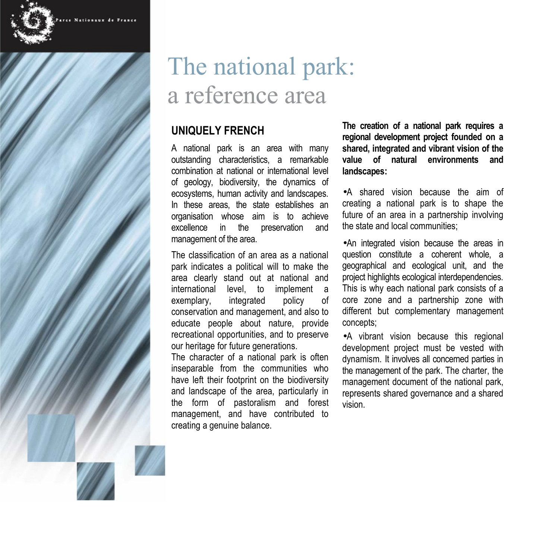

## The national park: a reference area

#### **UNIQUELY FRENCH**

A national park is an area with many outstanding characteristics, a remarkable combination at national or international level of geology, biodiversity, the dynamics of ecosystems, human activity and landscapes. In these areas, the state establishes an organisation whose aim is to achieve excellence in the preservation and management of the area.

The classification of an area as a national park indicates a political will to make the area clearly stand out at national and international level, to implement a exemplary, integrated policy of conservation and management, and also to educate people about nature, provide recreational opportunities, and to preserve our heritage for future generations.

The character of a national park is often inseparable from the communities who have left their footprint on the biodiversity and landscape of the area, particularly in the form of pastoralism and forest management, and have contributed to creating a genuine balance.

**The creation of a national park requires a regional development project founded on a shared, integrated and vibrant vision of the value of natural environments and landscapes:**

•A shared vision because the aim of creating a national park is to shape the future of an area in a partnership involving the state and local communities;

•An integrated vision because the areas in question constitute a coherent whole, a geographical and ecological unit, and the project highlights ecological interdependencies. This is why each national park consists of a core zone and a partnership zone with different but complementary management concepts;

•A vibrant vision because this regional development project must be vested with dynamism. It involves all concerned parties in the management of the park. The charter, the management document of the national park, represents shared governance and a shared vision.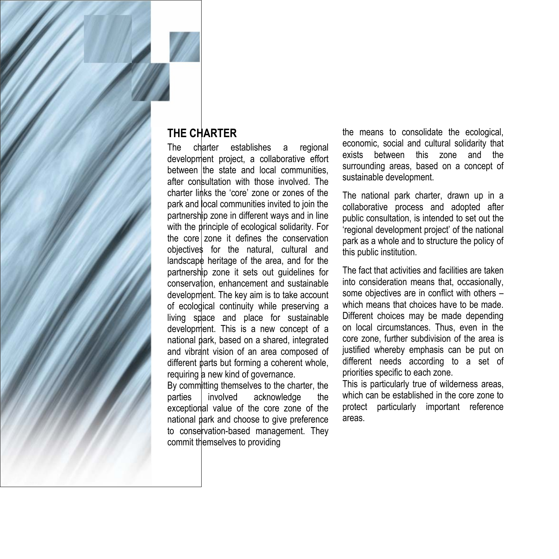### **THE CHARTER**

The charter establishes a regional development project, a collaborative effort between the state and local communities, after consultation with those involved. The charter links the 'core' zone or zones of the park and local communities invited to join the partnership zone in different ways and in line with the principle of ecological solidarity. For the core zone it defines the conservation objectives for the natural, cultural and landscape heritage of the area, and for the partnership zone it sets out guidelines for conservation, enhancement and sustainable development. The key aim is to take account of ecological continuity while preserving a living space and place for sustainable development. This is a new concept of a national park, based on a shared, integrated and vibrant vision of an area composed of different parts but forming a coherent whole, requiring a new kind of governance.

By committing themselves to the charter, the parties involved acknowledge the exceptional value of the core zone of the national park and choose to give preference to conservation-based management. They commit themselves to providing

the means to consolidate the ecological, economic, social and cultural solidarity that exists between this zone and the surrounding areas, based on a concept of sustainable development.

The national park charter, drawn up in a collaborative process and adopted after public consultation, is intended to set out the 'regional development project' of the national park as a whole and to structure the policy of this public institution.

The fact that activities and facilities are taken into consideration means that, occasionally, some objectives are in conflict with others – which means that choices have to be made. Different choices may be made depending on local circumstances. Thus, even in the core zone, further subdivision of the area is justified whereby emphasis can be put on different needs according to a set of priorities specific to each zone.

This is particularly true of wilderness areas, which can be established in the core zone to protect particularly important reference areas.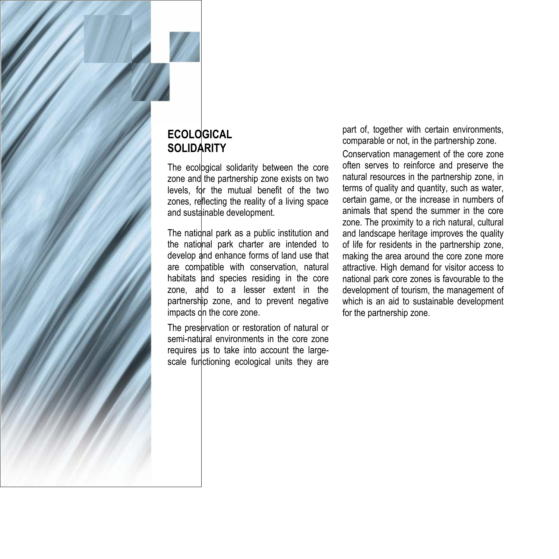## **ECOLOGICAL SOLIDARITY**

The ecological solidarity between the core zone and the partnership zone exists on two levels, for the mutual benefit of the two zones, reflecting the reality of a living space and sustainable development.

The national park as a public institution and the national park charter are intended to develop and enhance forms of land use that are compatible with conservation, natural habitats and species residing in the core zone, and to a lesser extent in the partnership zone, and to prevent negative impacts on the core zone.

The preservation or restoration of natural or semi-natural environments in the core zone requires  $\mu$ s to take into account the largescale functioning ecological units they are part of, together with certain environments, comparable or not, in the partnership zone.

Conservation management of the core zone often serves to reinforce and preserve the natural resources in the partnership zone, in terms of quality and quantity, such as water, certain game, or the increase in numbers of animals that spend the summer in the core zone. The proximity to a rich natural, cultural and landscape heritage improves the quality of life for residents in the partnership zone, making the area around the core zone more attractive. High demand for visitor access to national park core zones is favourable to the development of tourism, the management of which is an aid to sustainable development for the partnership zone.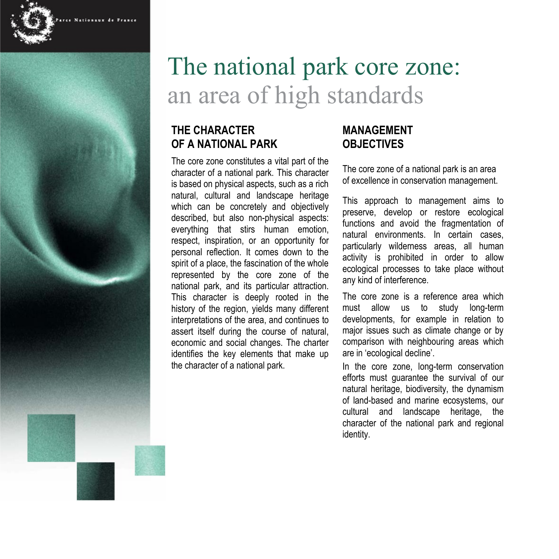## The national park core zone: an area of high standards

#### **THE CHARACTER OF A NATIONAL PARK**

Nationaux de F:

The core zone constitutes a vital part of the character of a national park. This character is based on physical aspects, such as a rich natural, cultural and landscape heritage which can be concretely and objectively described, but also non-physical aspects: everything that stirs human emotion, respect, inspiration, or an opportunity for personal reflection. It comes down to the spirit of a place, the fascination of the whole represented by the core zone of the national park, and its particular attraction. This character is deeply rooted in the history of the region, yields many different interpretations of the area, and continues to assert itself during the course of natural, economic and social changes. The charter identifies the key elements that make up the character of a national park.

#### **MANAGEMENT OBJECTIVES**

The core zone of a national park is an area of excellence in conservation management.

This approach to management aims to preserve, develop or restore ecological functions and avoid the fragmentation of natural environments. In certain cases, particularly wilderness areas, all human activity is prohibited in order to allow ecological processes to take place without any kind of interference.

The core zone is a reference area which must allow us to study long-term developments, for example in relation to major issues such as climate change or by comparison with neighbouring areas which are in 'ecological decline'.

In the core zone, long-term conservation efforts must guarantee the survival of our natural heritage, biodiversity, the dynamism of land-based and marine ecosystems, our cultural and landscape heritage, the character of the national park and regional identity.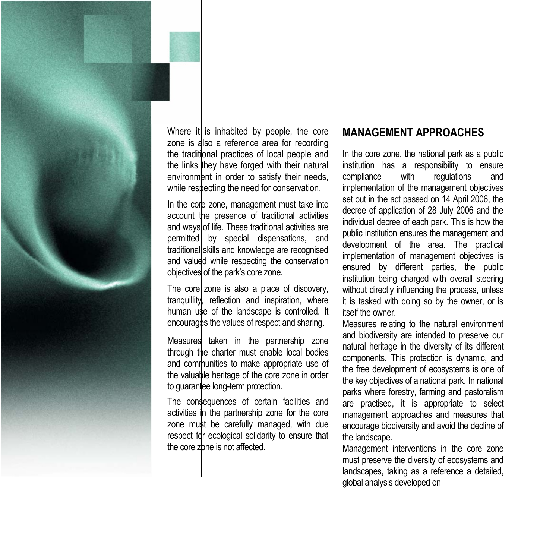

Where it is inhabited by people, the core zone is also a reference area for recording the traditional practices of local people and the links they have forged with their natural environment in order to satisfy their needs, while respecting the need for conservation.

In the core zone, management must take into account the presence of traditional activities and ways of life. These traditional activities are permitted by special dispensations, and traditional skills and knowledge are recognised and valued while respecting the conservation objectives of the park's core zone.

The core zone is also a place of discovery, tranquillity, reflection and inspiration, where human use of the landscape is controlled. It encourages the values of respect and sharing.

Measures taken in the partnership zone through the charter must enable local bodies and communities to make appropriate use of the valuable heritage of the core zone in order to guarantee long-term protection.

The consequences of certain facilities and activities in the partnership zone for the core zone must be carefully managed, with due respect for ecological solidarity to ensure that the core zone is not affected.

#### **MANAGEMENT APPROACHES**

In the core zone, the national park as a public institution has a responsibility to ensure compliance with regulations and implementation of the management objectives set out in the act passed on 14 April 2006, the decree of application of 28 July 2006 and the individual decree of each park. This is how the public institution ensures the management and development of the area. The practical implementation of management objectives is ensured by different parties, the public institution being charged with overall steering without directly influencing the process, unless it is tasked with doing so by the owner, or is itself the owner.

Measures relating to the natural environment and biodiversity are intended to preserve our natural heritage in the diversity of its different components. This protection is dynamic, and the free development of ecosystems is one of the key objectives of a national park. In national parks where forestry, farming and pastoralism are practised, it is appropriate to select management approaches and measures that encourage biodiversity and avoid the decline of the landscape.

Management interventions in the core zone must preserve the diversity of ecosystems and landscapes, taking as a reference a detailed, global analysis developed on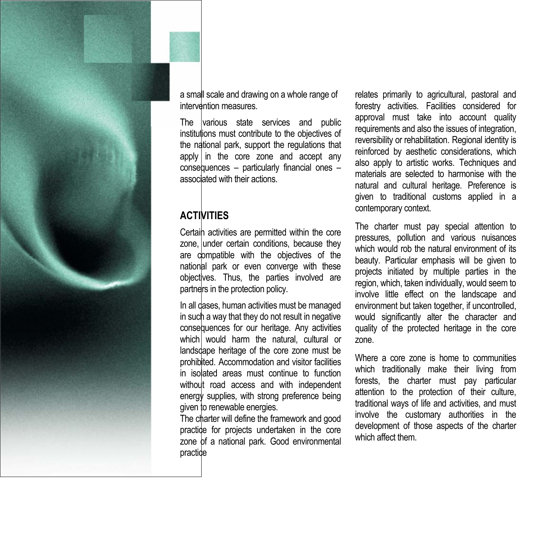a small scale and drawing on a whole range of intervention measures.

The various state services and public institutions must contribute to the objectives of the national park, support the regulations that apply in the core zone and accept any consequences – particularly financial ones – associated with their actions.

### **ACTIVITIES**

Certain activities are permitted within the core zone, under certain conditions, because they are compatible with the objectives of the national park or even converge with these objectives. Thus, the parties involved are partners in the protection policy.

In all cases, human activities must be managed in such a way that they do not result in negative consequences for our heritage. Any activities which would harm the natural, cultural or landscape heritage of the core zone must be prohibited. Accommodation and visitor facilities in isolated areas must continue to function without road access and with independent energy supplies, with strong preference being given to renewable energies.

The charter will define the framework and good practice for projects undertaken in the core zone of a national park. Good environmental practice

relates primarily to agricultural, pastoral and forestry activities. Facilities considered for approval must take into account quality requirements and also the issues of integration, reversibility or rehabilitation. Regional identity is reinforced by aesthetic considerations, which also apply to artistic works. Techniques and materials are selected to harmonise with the natural and cultural heritage. Preference is given to traditional customs applied in a contemporary context.

The charter must pay special attention to pressures, pollution and various nuisances which would rob the natural environment of its beauty. Particular emphasis will be given to projects initiated by multiple parties in the region, which, taken individually, would seem to involve little effect on the landscape and environment but taken together, if uncontrolled, would significantly alter the character and quality of the protected heritage in the core zone.

Where a core zone is home to communities which traditionally make their living from forests, the charter must pay particular attention to the protection of their culture, traditional ways of life and activities, and must involve the customary authorities in the development of those aspects of the charter which affect them.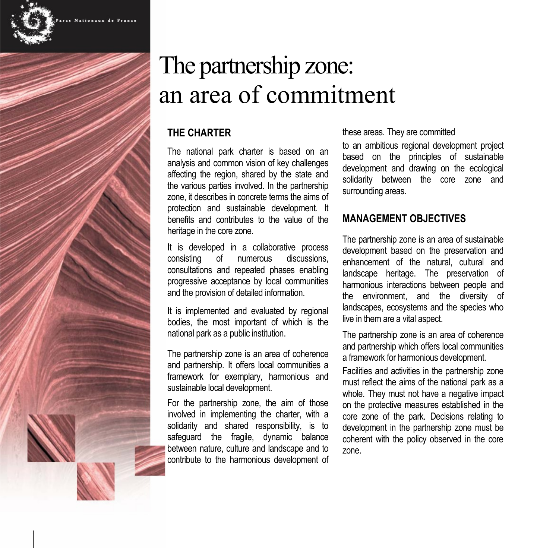

## The partnership zone: an area of commitment

#### **THE CHARTER**

The national park charter is based on an analysis and common vision of key challenges affecting the region, shared by the state and the various parties involved. In the partnership zone, it describes in concrete terms the aims of protection and sustainable development. It benefits and contributes to the value of the heritage in the core zone.

It is developed in a collaborative process consisting of numerous discussions, consultations and repeated phases enabling progressive acceptance by local communities and the provision of detailed information.

It is implemented and evaluated by regional bodies, the most important of which is the national park as a public institution.

The partnership zone is an area of coherence and partnership. It offers local communities a framework for exemplary, harmonious and sustainable local development.

For the partnership zone, the aim of those involved in implementing the charter, with a solidarity and shared responsibility, is to safeguard the fragile, dynamic balance between nature, culture and landscape and to contribute to the harmonious development of

#### these areas. They are committed

to an ambitious regional development project based on the principles of sustainable development and drawing on the ecological solidarity between the core zone and surrounding areas.

#### **MANAGEMENT OBJECTIVES**

The partnership zone is an area of sustainable development based on the preservation and enhancement of the natural, cultural and landscape heritage. The preservation of harmonious interactions between people and the environment, and the diversity of landscapes, ecosystems and the species who live in them are a vital aspect.

The partnership zone is an area of coherence and partnership which offers local communities a framework for harmonious development.

Facilities and activities in the partnership zone must reflect the aims of the national park as a whole. They must not have a negative impact on the protective measures established in the core zone of the park. Decisions relating to development in the partnership zone must be coherent with the policy observed in the core zone.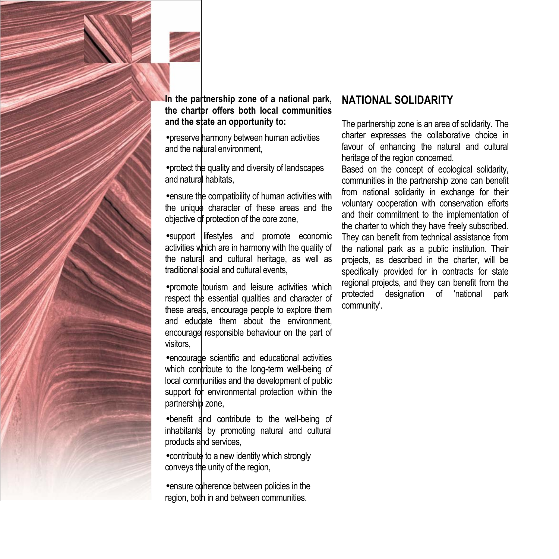**In the partnership zone of a national park, the charter offers both local communities and the state an opportunity to:**

•preserve harmony between human activities and the natural environment.

•protect the quality and diversity of landscapes and natural habitats,

•ensure the compatibility of human activities with the unique character of these areas and the objective of protection of the core zone,

•support lifestyles and promote economic activities which are in harmony with the quality of the natural and cultural heritage, as well as traditional social and cultural events,

•promote tourism and leisure activities which respect the essential qualities and character of these areas, encourage people to explore them and educate them about the environment. encourage responsible behaviour on the part of visitors,

•encourage scientific and educational activities which contribute to the long-term well-being of local communities and the development of public support for environmental protection within the partnership zone,

•benefit and contribute to the well-being of inhabitants by promoting natural and cultural products and services,

•contribute to a new identity which strongly conveys the unity of the region,

•ensure coherence between policies in the region, both in and between communities.

### **NATIONAL SOLIDARITY**

The partnership zone is an area of solidarity. The charter expresses the collaborative choice in favour of enhancing the natural and cultural heritage of the region concerned.

Based on the concept of ecological solidarity, communities in the partnership zone can benefit from national solidarity in exchange for their voluntary cooperation with conservation efforts and their commitment to the implementation of the charter to which they have freely subscribed. They can benefit from technical assistance from the national park as a public institution. Their projects, as described in the charter, will be specifically provided for in contracts for state regional projects, and they can benefit from the protected designation of 'national park community'.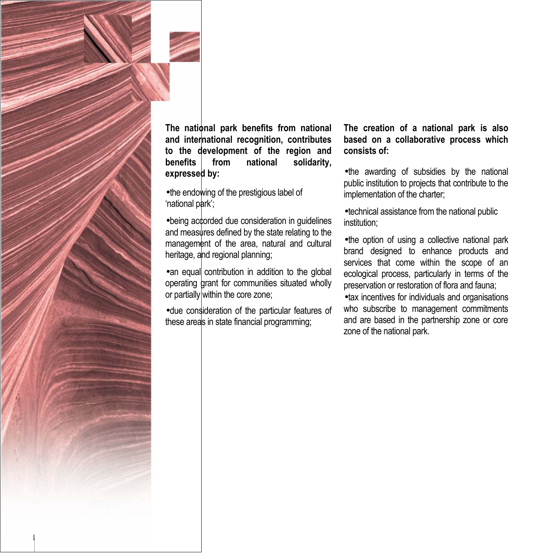**The national park benefits from national and international recognition, contributes to the development of the region and benefits from national solidarity, expressed by:**

•the endowing of the prestigious label of 'national park';

•being accorded due consideration in guidelines and measures defined by the state relating to the management of the area, natural and cultural heritage, and regional planning;

•an equal contribution in addition to the global operating grant for communities situated wholly or partially within the core zone;

•due consideration of the particular features of these areas in state financial programming;

**The creation of a national park is also based on a collaborative process which consists of:**

•the awarding of subsidies by the national public institution to projects that contribute to the implementation of the charter;

•technical assistance from the national public institution;

•the option of using a collective national park brand designed to enhance products and services that come within the scope of an ecological process, particularly in terms of the preservation or restoration of flora and fauna;

•tax incentives for individuals and organisations who subscribe to management commitments and are based in the partnership zone or core zone of the national park.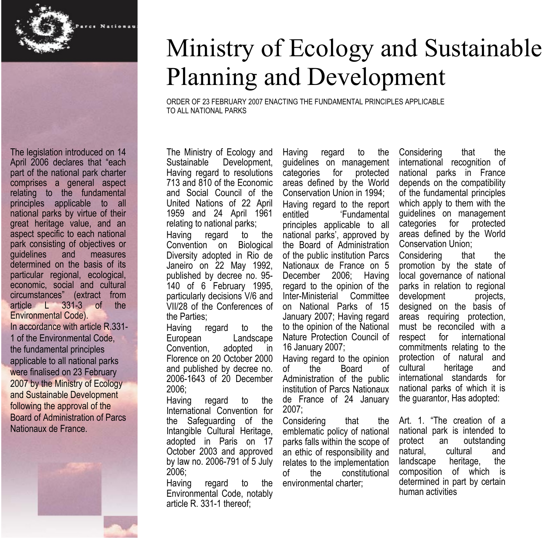

The legislation introduced on 14 April 2006 declares that "each part of the national park charter comprises a general aspect relating to the fundamental principles applicable to all national parks by virtue of their great heritage value, and an aspect specific to each national park consisting of objectives or<br>quidelines and measures guidelines and measures determined on the basis of its particular regional, ecological, economic, social and cultural circumstances" (extract from article L 331-3 of the Environmental Code).

In accordance with article R.331- 1 of the Environmental Code, the fundamental principles applicable to all national parks were finalised on 23 February 2007 by the Ministry of Ecology and Sustainable Development following the approval of the Board of Administration of Parcs Nationaux de France.

# Ministry of Ecology and Sustainable Planning and Development

ORDER OF 23 FEBRUARY 2007 ENACTING THE FUNDAMENTAL PRINCIPLES APPLICABLE TO ALL NATIONAL PARKS

The Ministry of Ecology and Sustainable Development, Having regard to resolutions 713 and 810 of the Economic and Social Council of the United Nations of 22 April 1959 and 24 April 1961 relating to national parks;

Having regard to the Convention on Biological Diversity adopted in Rio de Janeiro on 22 May 1992, published by decree no. 95-140 of 6 February 1995, particularly decisions V/6 and VII/28 of the Conferences of the Parties;

Having regard to the European Landscape Convention, adopted in Florence on 20 October 2000 and published by decree no. 2006-1643 of 20 December 2006;

Having regard to the International Convention for the Safeguarding of the Intangible Cultural Heritage, adopted in Paris on 17 October 2003 and approved by law no. 2006-791 of 5 July 2006;

Having regard to the Environmental Code, notably article R. 331-1 thereof;

Having regard to the guidelines on management categories for protected areas defined by the World Conservation Union in 1994; Having regard to the report entitled 'Fundamental principles applicable to all national parks', approved by the Board of Administration of the public institution Parcs Nationaux de France on 5 December 2006; Having regard to the opinion of the Inter-Ministerial Committee on National Parks of 15 January 2007; Having regard to the opinion of the National Nature Protection Council of 16 January 2007;

Having regard to the opinion of the Board of Administration of the public institution of Parcs Nationaux de France of 24 January 2007;

Considering that the emblematic policy of national parks falls within the scope of an ethic of responsibility and relates to the implementation of the constitutional environmental charter;

Considering that the international recognition of national parks in France depends on the compatibility of the fundamental principles which apply to them with the guidelines on management categories for protected areas defined by the World Conservation Union;

Considering that the promotion by the state of local governance of national parks in relation to regional development projects. designed on the basis of areas requiring protection, must be reconciled with a respect for international commitments relating to the protection of natural and cultural heritage and international standards for national parks of which it is the guarantor, Has adopted:

Art. 1. "The creation of a national park is intended to protect an outstanding natural, cultural and landscape heritage, the composition of which is determined in part by certain human activities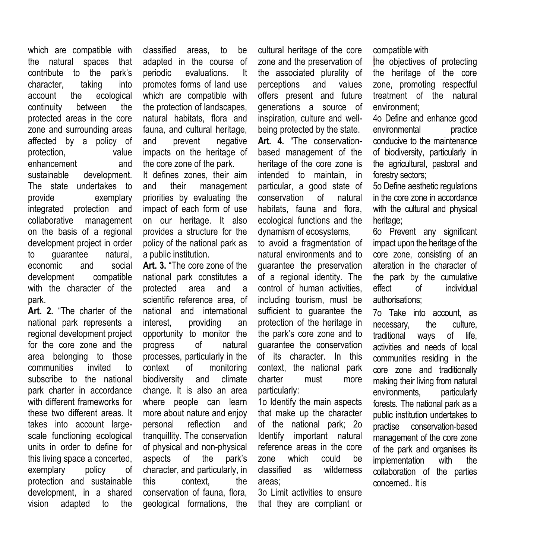which are compatible with the natural spaces that contribute to the park's character, taking into account the ecological continuity between the protected areas in the core zone and surrounding areas affected by a policy of protection, value enhancement and sustainable development. The state undertakes to provide exemplary integrated protection and collaborative management on the basis of a regional development project in order to guarantee natural, economic and social development compatible with the character of the park.

**Art. 2.** "The charter of the national park represents a regional development project for the core zone and the area belonging to those communities invited to subscribe to the national park charter in accordance with different frameworks for these two different areas. It takes into account largescale functioning ecological units in order to define for this living space a concerted, exemplary policy of protection and sustainable development, in a shared vision adapted to the

classified areas, to be adapted in the course of periodic evaluations. It promotes forms of land use which are compatible with the protection of landscapes, natural habitats, flora and fauna, and cultural heritage, and prevent negative impacts on the heritage of the core zone of the park.

It defines zones, their aim and their management priorities by evaluating the impact of each form of use on our heritage. It also provides a structure for the policy of the national park as a public institution.

**Art. 3.** "The core zone of the national park constitutes a protected area and a scientific reference area, of national and international interest, providing an opportunity to monitor the progress of natural processes, particularly in the context of monitoring biodiversity and climate change. It is also an area where people can learn more about nature and enjoy personal reflection and tranquillity. The conservation of physical and non-physical aspects of the park's character, and particularly, in this context, the conservation of fauna, flora, geological formations, the cultural heritage of the core zone and the preservation of the associated plurality of perceptions and values offers present and future generations a source of inspiration, culture and wellbeing protected by the state. **Art. 4.** "The conservationbased management of the heritage of the core zone is intended to maintain, in particular, a good state of conservation of natural habitats, fauna and flora, ecological functions and the dynamism of ecosystems,

to avoid a fragmentation of natural environments and to guarantee the preservation of a regional identity. The control of human activities, including tourism, must be sufficient to guarantee the protection of the heritage in the park's core zone and to guarantee the conservation of its character. In this context, the national park charter must more particularly:

1o Identify the main aspects that make up the character of the national park; 2o Identify important natural reference areas in the core zone which could be classified as wilderness areas;

3o Limit activities to ensure that they are compliant or compatible with

the objectives of protecting the heritage of the core zone, promoting respectful treatment of the natural environment;

4o Define and enhance good environmental practice conducive to the maintenance of biodiversity, particularly in the agricultural, pastoral and forestry sectors;

5o Define aesthetic regulations in the core zone in accordance with the cultural and physical heritage;

6o Prevent any significant impact upon the heritage of the core zone, consisting of an alteration in the character of the park by the cumulative effect of individual authorisations;

7o Take into account, as necessary, the culture, traditional ways of life, activities and needs of local communities residing in the core zone and traditionally making their living from natural environments, particularly forests. The national park as a public institution undertakes to practise conservation-based management of the core zone of the park and organises its implementation with the collaboration of the parties concerned.. It is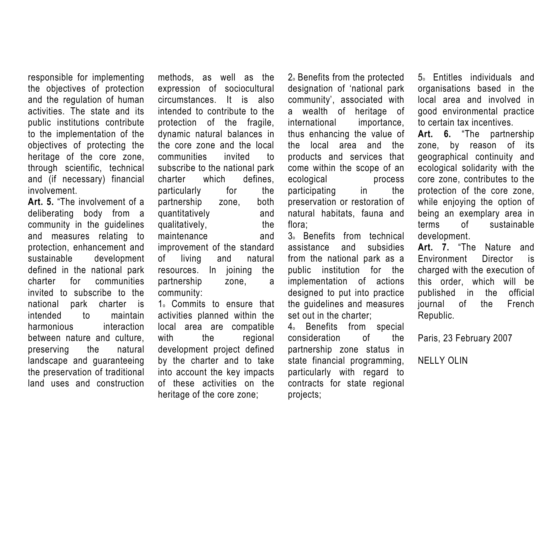responsible for implementing the objectives of protection and the regulation of human activities. The state and its public institutions contribute to the implementation of the objectives of protecting the heritage of the core zone, through scientific, technical and (if necessary) financial involvement.

**Art. 5.** "The involvement of a deliberating body from a community in the guidelines and measures relating to protection, enhancement and sustainable development defined in the national park charter for communities invited to subscribe to the national park charter is intended to maintain harmonious interaction between nature and culture, preserving the natural landscape and guaranteeing the preservation of traditional land uses and construction methods, as well as the expression of sociocultural circumstances. It is also intended to contribute to the protection of the fragile, dynamic natural balances in the core zone and the local communities invited to subscribe to the national park charter which defines, particularly for the partnership zone, both quantitatively and qualitatively, the maintenance and improvement of the standard of living and natural resources. In joining the partnership zone, a community:

1. Commits to ensure that activities planned within the local area are compatible with the regional development project defined by the charter and to take into account the key impacts of these activities on the heritage of the core zone;

2. Benefits from the protected designation of 'national park community', associated with a wealth of heritage of international importance, thus enhancing the value of the local area and the products and services that come within the scope of an ecological process participating in the preservation or restoration of natural habitats, fauna and flora;

3. Benefits from technical assistance and subsidies from the national park as a public institution for the implementation of actions designed to put into practice the guidelines and measures set out in the charter;

4<sup>o</sup> Benefits from special consideration of the partnership zone status in state financial programming, particularly with regard to contracts for state regional projects;

5<sup>o</sup> Entitles individuals and organisations based in the local area and involved in good environmental practice to certain tax incentives.

**Art. 6.** "The partnership zone, by reason of its geographical continuity and ecological solidarity with the core zone, contributes to the protection of the core zone, while enjoying the option of being an exemplary area in terms of sustainable development.

**Art. 7.** "The Nature and Environment Director is charged with the execution of this order, which will be published in the official journal of the French Republic.

Paris, 23 February 2007

NELLY OLIN